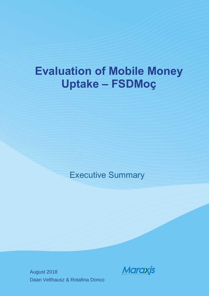# **Evaluation of Mobile Money Uptake – FSDMoç**

# Executive Summary

August 2018 Daan Velthausz & Rotafina Donco

**Maraxis**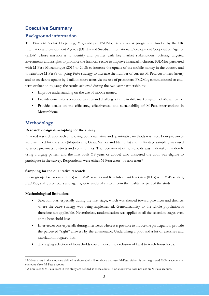# **Executive Summary**

## **Background information**

The Financial Sector Deepening, Moçambique (FSDMoç) is a six-year programme funded by the UK International Development Agency (DFID) and Swedish International Development Cooperation Agency (SIDA) whose mission is to identify and partner with key market stakeholders, offering targeted investments and insights to promote the financial sector to improve financial inclusion. FSDMoç partnered with M-Pesa Mozambique (2016 to 2018) to increase the uptake of the mobile money in the country and to reinforce M-Pesa's on-going *Pedro* strategy to increase the number of current M-Pesa customers (users) and to accelerate uptake by 1 million more users via the use of promoters. FSDMoç commissioned an endterm evaluation to gauge the results achieved during the two-year partnership to:

- Improve understanding on the use of mobile money.
- Provide conclusions on opportunities and challenges in the mobile market system of Mozambique.
- Provide details on the efficiency, effectiveness and sustainability of M-Pesa interventions in Mozambique.

## **Methodology**

#### **Research design & sampling for the survey**

A mixed research approach employing both qualitative and quantitative methods was used. Four provinces were sampled for the study (Maputo city, Gaza, Manica and Nampula) and multi-stage sampling was used to select provinces, districts and communities. The recruitment of households was undertaken randomly using a zigzag pattern and the first adult (18 years or above) who answered the door was eligible to participate in the survey. Respondents were either M-Pesa users<sup>1</sup> or non-users<sup>2</sup>.

#### **Sampling for the qualitative research**

Focus group discussions (FGDs) with M-Pesa users and Key Informant Interview (KIIs) with M-Pesa staff, FSDMoç staff, promoters and agents, were undertaken to inform the qualitative part of the study.

#### **Methodological limitations**

 $\overline{a}$ 

- Selection bias, especially during the first stage, which was skewed toward provinces and districts where the *Pedro* strategy was being implemented. Generalizability to the whole population is therefore not applicable. Nevertheless, randomization was applied in all the selection stages even at the household level.
- Interviewer bias especially during interviews where it is possible to induce the participant to provide the perceived "right" answers by the enumerator. Undertaking a pilot and a lot of exercises and simulation mitigated this.
- The zigzag selection of households could induce the exclusion of hard to reach households.

<sup>1</sup> M-Pesa users in this study are defined as those adults 18 or above that uses M-Pesa, either his own registered M-Pesa account or someone else's M-Pesa account

<sup>2</sup> A non-user & M-Pesa users in this study are defined as those adults 18 or above who does not use an M-Pesa account.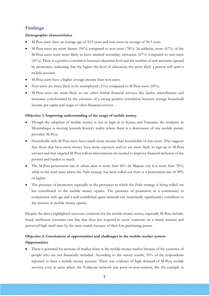# **Findings**

#### **Demographic characteristics**

- M-Pesa users have an average age of 32.9 years and non-users an average of 36.3 years.
- M-Pesa users are more literate (94%) compared to non-users (78%). In addition, more (67%) of the M-Pesa users were more likely to have attained secondary education (67%) compared to non-users (41%). There is a positive correlation between education level and the number of new accounts opened by promoters, indicating that the higher the level of education, the more likely a person will open a mobile account.
- M-Pesa users have a higher average income than non-users.
- Non-users are more likely to be unemployed (31%) compared to M-Pesa users (18%).
- M-Pesa users are more likely to use other formal financial services like banks, microfinance and insurance corroborated by the existence of a strong positive correlation between average household income per capita and usage of other financial services.

#### **Objective 1: Improving understanding of the usage of mobile money**

- Though the adoption of mobile money is not as high as in Kenya and Tanzania, the tendency in Mozambique is moving towards Kenya's reality where there is a dominance of one mobile money provider: M-Pesa.
- Households with M-Pesa users have much more income than households of non-users. This suggests that those that have more money have more exposure and/or are more likely to sign-up to M-Pesa services and that targeted M-Pesa rollout interventions are needed to improve financial inclusion of the poorest and hardest to reach.
- The M-Pesa penetration rate in urban areas is more than 50% (in Maputo city it is more than 70%) while in the rural areas where the *Pedro* strategy has been rolled out there is a penetration rate of 30% or higher.
- The presence of promoters especially in the provinces in which the *Pedro* strategy is being rolled out has contributed to the mobile money uptake. The presence of promoters in a community in conjunction with age and a well-established agent network can (statistically significantly) contribute to the increase in mobile money uptake.

Despite the above highlighted successes, concerns for the mobile money sector, especially M-Pesa include: fraud, inefficient customer care line that does not respond to users' concerns on a timely manner and perceived high tarrif rates by the users mainly because of their low purchasing power.

# **Objective 2: Conclusions of opportunities and challenges in the mobile market system Opportunities**

 There is potential for increase of market share in the mobile money market because of the existence of people who are not financially included. According to the survey results, 55% of the respondents reported to have a mobile money account. There was evidence of high demand of M-Pesa mobile services even in areas where the Vodacom network was poor or non-existent, like for example in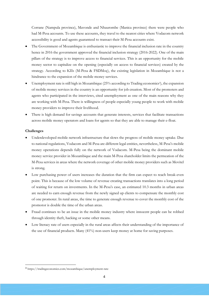Corrane (Nampula province), Mavonde and Nhaurombe (Manica province) there were people who had M-Pesa accounts. To use these accounts, they travel to the nearest cities where Vodacom network accessibility is good and agents guaranteed to transact their M-Pesa accounts exist.

- The Government of Mozambique is enthusiastic to improve the financial inclusion rate in the country hence in 2016 the government approved the financial inclusion strategy (2016-2022). One of the main pillars of the strategy is to improve access to financial services. This is an opportunity for the mobile money sector to capitalize on the opening (especially on access to financial services) created by the strategy. According to KIIs (M-Pesa & FSDMoç), the existing legislation in Mozambique is not a hindrance to the expansion of the mobile money services.
- Unemployment rate is still high in Mozambique (25% according to Trading economics<sup>3</sup>), the expansion of mobile money services in the country is an opportunity for job creation. Most of the promoters and agents who participated in the interviews, cited unemployment as one of the main reasons why they are working with M-Pesa. There is willingness of people especially young people to work with mobile money providers to improve their livelihood.
- There is high demand for savings accounts that generate interests, services that facilitate transactions across mobile money operators and loans for agents so that they are able to manage their e-float.

#### **Challenges**

 $\ddot{\phantom{a}}$ 

- Underdeveloped mobile network infrastructure that slows the progress of mobile money uptake. Due to national regulations, Vodacom and M-Pesa are different legal entities, nevertheless, M-Pesa's mobile money operations depends fully on the network of Vodacom. M-Pesa being the dominant mobile money service provider in Mozambique and the main M-Pesa shareholder limits the permeation of the M-Pesa services in areas where the network coverage of other mobile money providers such as Movitel is strong.
- Low purchasing power of users increases the duration that the firm can expect to reach break-even point. This is because of the low volume of revenue creating transactions translates into a long period of waiting for return on investments. In the M-Pesa's case, an estimated 10.3 months in urban areas are needed to earn enough revenue from the newly signed up clients to compensate the monthly cost of one promoter. In rural areas, the time to generate enough revenue to cover the monthly cost of the promotor is double the time of the urban areas.
- Fraud continues to be an issue in the mobile money industry where innocent people can be robbed through identity theft, hacking or some other means.
- Low literacy rate of users especially in the rural areas affects their understanding of the importance of the use of financial products. Many (41%) non-users keep money at home for saving purposes.

<sup>3</sup> https://tradingeconomics.com/mozambique/unemployment-rate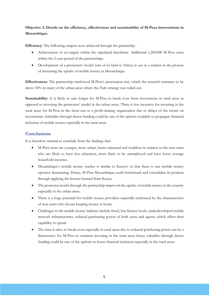# **Objective 3: Details on the efficiency, effectiveness and sustainability of M-Pesa interventions in Mozambique.**

**Efficiency**: The following outputs were achieved through the partneship :

- Achievement of set targets within the stipulated timeframe. Additional 1,200,000 M-Pesa users within the 2-year period of the partnerships.
- Development of a promoters' model (one of its kind in Africa) to act as a catalyst in the process of increasing the uptake of mobile money in Mozambique.

**Effectiveness**: The partnership reinforced M-Pesa's penetration rate, which the research estimates to be above 50% in many of the urban areas where the *Pedro* strategy was rolled out.

**Sustainability**: It is likely to take longer for M-Pesa to break even from investments in rural areas as opposed to investing the promoters' model in the urban areas. There is less incentive for investing in the rural areas for M-Pesa in the short-run as a profit-making organization due to delays of the return on investments. Subsidies through donor funding could be one of the options available to propagate financial inclusion of mobile money especially in the rural areas.

# **Conclusions**

It is therefore rational to conclude from the findings that:

- M-Pesa users are younger, more urban, better educated and wealthier in relation to the non-users who are likely to have less education, more likely to be unemployed and have lower average household incomes.
- Mozambique's mobile money market is similar to Kenya's in that there is one mobile money operator dominating. Hence, M-Pesa Mozambique could benchmark and consolidate its position through applying the lessons learned from Kenya.
- The promoter model through the partnership improved the uptake of mobile money in the country especially in the urban areas.
- There is a huge potential for mobile money providers especially reinforced by the characteristics of non-users who favour keeping money at home.
- Challenges in the mobile money industry include fraud, low literacy levels, underdeveloped mobile network infrastructures, reduced purchasing power of both users and agents, which affect their capability to spend.
- The time it takes to break-even especially in rural areas due to reduced purchasing power can be a disincentive for M-Pesa to continue investing in the rural areas hence subsidies through donor funding could be one of the options to boost financial inclusion especially in the rural areas.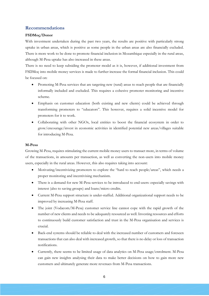# **Recommendations**

#### **FSDMoç/Donor**

With investment undertaken during the past two years, the results are positive with particularly strong uptake in urban areas, which is positive as some people in the urban areas are also financially excluded. There is more work to be done to promote financial inclusion in Mozambique especially in the rural areas, although M-Pesa uptake has also increased in these areas.

There is no need to keep subsiding the promoter model as it is, however, if additional investment from FSDMoç into mobile money services is made to further increase the formal financial inclusion. This could be focused on:

- Promoting M-Pesa services that are targeting new (rural) areas to reach people that are financially informally included and excluded. This requires a cohesive promoter monitoring and incentive scheme.
- Emphasis on customer education (both existing and new clients) could be achieved through transforming promoters to "educators". This however, requires a solid incentive model for promoters for it to work.
- Collaborating with other NGOs, local entities to boost the financial ecosystem in order to grow/encourage/invest in economic activities in identified potential new areas/villages suitable for introducing M-Pesa.

#### **M-Pesa**

Growing M-Pesa, requires stimulating the current mobile money users to transact more, in terms of volume of the transactions, in amounts per transaction, as well as converting the non-users into mobile money users, especially in the rural areas. However, this also requires taking into account:

- Motivating/incentivizing promoters to explore the "hard to reach people/areas", which needs a proper monitoring and incentivising mechanism.
- There is a demand for new M-Pesa services to be introduced to end-users: especially savings with interest (also to saving groups) and loans/micro credits.
- Current M-Pesa support structure is under-staffed. Additional organizational support needs to be improved by increasing M-Pesa staff.
- The joint (Vodacom/M-Pesa) customer service line cannot cope with the rapid growth of the number of new clients and needs to be adequately resourced as well. Investing resources and efforts to continuously build customer satisfaction and trust in the M-Pesa organisation and services is crucial.
- Back-end systems should be reliable to deal with the increased number of customers and foreseen transactions that can also deal with increased growth, so that there is no delay or loss of transaction notifications.
- Currently, there seems to be limited usage of data analytics on M-Pesa usage/enrolment. M-Pesa can gain new insights analysing their data to make better decisions on how to gain more new customers and ultimately generate more revenues from M-Pesa transactions.